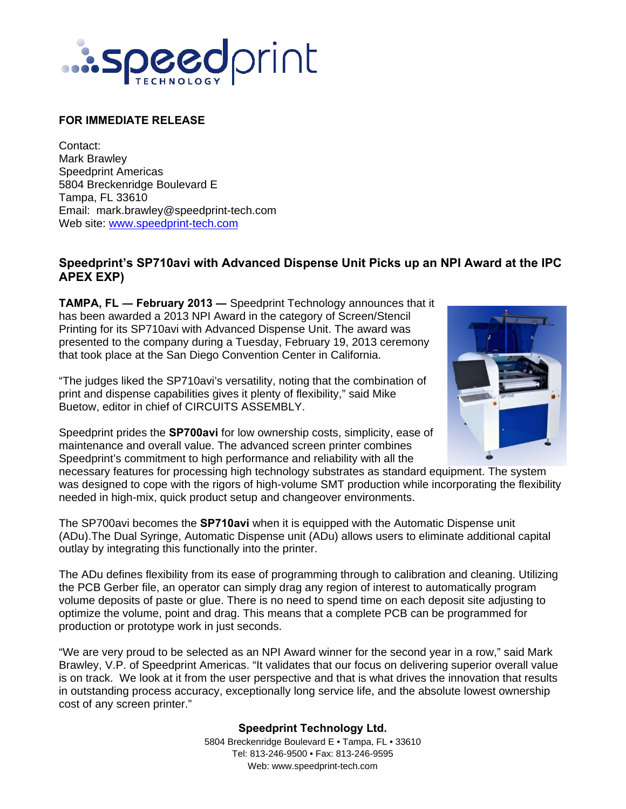

## **FOR IMMEDIATE RELEASE**

Contact: Mark Brawley Speedprint Americas 5804 Breckenridge Boulevard E Tampa, FL 33610 Email: mark.brawley@speedprint-tech.com Web site: www.speedprint-tech.com

## **Speedprint's SP710avi with Advanced Dispense Unit Picks up an NPI Award at the IPC APEX EXP)**

**TAMPA, FL ― February 2013 ―** Speedprint Technology announces that it has been awarded a 2013 NPI Award in the category of Screen/Stencil Printing for its SP710avi with Advanced Dispense Unit. The award was presented to the company during a Tuesday, February 19, 2013 ceremony that took place at the San Diego Convention Center in California.

"The judges liked the SP710avi's versatility, noting that the combination of print and dispense capabilities gives it plenty of flexibility," said Mike Buetow, editor in chief of CIRCUITS ASSEMBLY.

Speedprint prides the **SP700avi** for low ownership costs, simplicity, ease of maintenance and overall value. The advanced screen printer combines Speedprint's commitment to high performance and reliability with all the



necessary features for processing high technology substrates as standard equipment. The system was designed to cope with the rigors of high-volume SMT production while incorporating the flexibility needed in high-mix, quick product setup and changeover environments.

The SP700avi becomes the **SP710avi** when it is equipped with the Automatic Dispense unit (ADu).The Dual Syringe, Automatic Dispense unit (ADu) allows users to eliminate additional capital outlay by integrating this functionally into the printer.

The ADu defines flexibility from its ease of programming through to calibration and cleaning. Utilizing the PCB Gerber file, an operator can simply drag any region of interest to automatically program volume deposits of paste or glue. There is no need to spend time on each deposit site adjusting to optimize the volume, point and drag. This means that a complete PCB can be programmed for production or prototype work in just seconds.

"We are very proud to be selected as an NPI Award winner for the second year in a row," said Mark Brawley, V.P. of Speedprint Americas. "It validates that our focus on delivering superior overall value is on track. We look at it from the user perspective and that is what drives the innovation that results in outstanding process accuracy, exceptionally long service life, and the absolute lowest ownership cost of any screen printer."

> **Speedprint Technology Ltd.** 5804 Breckenridge Boulevard E • Tampa, FL • 33610 Tel: 813-246-9500 • Fax: 813-246-9595 Web: www.speedprint-tech.com